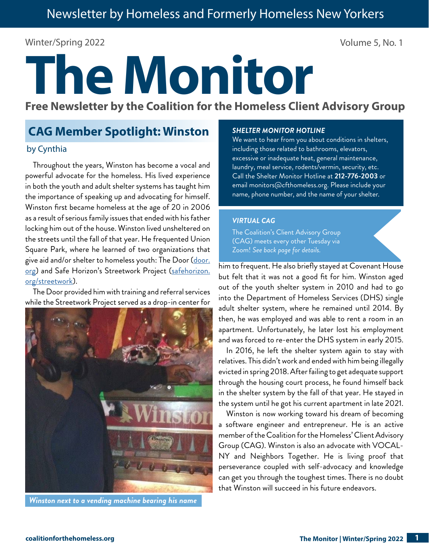## Winter/Spring 2022 Volume 5, No. 1

# **The Monitor**

**Free Newsletter by the Coalition for the Homeless Client Advisory Group**

# **CAG Member Spotlight: Winston**

## by Cynthia

Throughout the years, Winston has become a vocal and powerful advocate for the homeless. His lived experience in both the youth and adult shelter systems has taught him the importance of speaking up and advocating for himself. Winston first became homeless at the age of 20 in 2006 as a result of serious family issues that ended with his father locking him out of the house. Winston lived unsheltered on the streets until the fall of that year. He frequented Union Square Park, where he learned of two organizations that give aid and/or shelter to homeless youth: The Door [\(door.](https://door.org/) [org](https://door.org/)) and Safe Horizon's Streetwork Project [\(safehorizon.](https://www.safehorizon.org/streetwork/) [org/streetwork\)](https://www.safehorizon.org/streetwork/).

The Door provided him with training and referral services while the Streetwork Project served as a drop-in center for



*Winston next to a vending machine bearing his name*

#### *SHELTER MONITOR HOTLINE*

We want to hear from you about conditions in shelters, including those related to bathrooms, elevators, excessive or inadequate heat, general maintenance, laundry, meal service, rodents/vermin, security, etc. Call the Shelter Monitor Hotline at **212-776-2003** or email monitors@cfthomeless.org. Please include your name, phone number, and the name of your shelter.

## *VIRTUAL CAG*

The Coalition's Client Advisory Group (CAG) meets every other Tuesday via Zoom! *See back page for details.*

him to frequent. He also briefly stayed at Covenant House but felt that it was not a good fit for him. Winston aged out of the youth shelter system in 2010 and had to go into the Department of Homeless Services (DHS) single adult shelter system, where he remained until 2014. By then, he was employed and was able to rent a room in an apartment. Unfortunately, he later lost his employment and was forced to re-enter the DHS system in early 2015.

In 2016, he left the shelter system again to stay with relatives. This didn't work and ended with him being illegally evicted in spring 2018. After failing to get adequate support through the housing court process, he found himself back in the shelter system by the fall of that year. He stayed in the system until he got his current apartment in late 2021.

Winston is now working toward his dream of becoming a software engineer and entrepreneur. He is an active member of the Coalition for the Homeless' Client Advisory Group (CAG). Winston is also an advocate with VOCAL-NY and Neighbors Together. He is living proof that perseverance coupled with self-advocacy and knowledge can get you through the toughest times. There is no doubt that Winston will succeed in his future endeavors.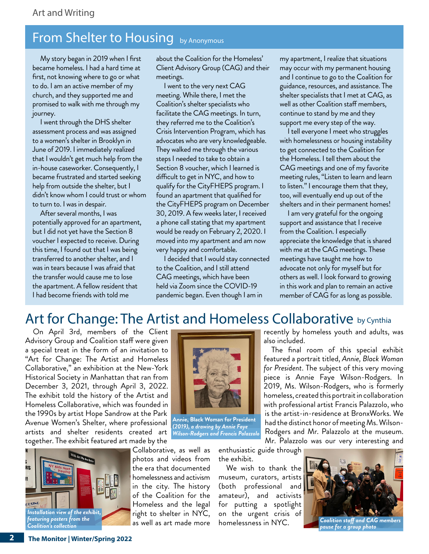# From Shelter to Housing by Anonymous

 My story began in 2019 when I first became homeless. I had a hard time at first, not knowing where to go or what to do. I am an active member of my church, and they supported me and promised to walk with me through my journey.

 I went through the DHS shelter assessment process and was assigned to a women's shelter in Brooklyn in June of 2019. I immediately realized that I wouldn't get much help from the in-house caseworker. Consequently, I became frustrated and started seeking help from outside the shelter, but I didn't know whom I could trust or whom to turn to. I was in despair.

 After several months, I was potentially approved for an apartment, but I did not yet have the Section 8 voucher I expected to receive. During this time, I found out that I was being transferred to another shelter, and I was in tears because I was afraid that the transfer would cause me to lose the apartment. A fellow resident that I had become friends with told me

about the Coalition for the Homeless' Client Advisory Group (CAG) and their meetings.

 I went to the very next CAG meeting. While there, I met the Coalition's shelter specialists who facilitate the CAG meetings. In turn, they referred me to the Coalition's Crisis Intervention Program, which has advocates who are very knowledgeable. They walked me through the various steps I needed to take to obtain a Section 8 voucher, which I learned is difficult to get in NYC, and how to qualify for the CityFHEPS program. I found an apartment that qualified for the CityFHEPS program on December 30, 2019. A few weeks later, I received a phone call stating that my apartment would be ready on February 2, 2020. I moved into my apartment and am now very happy and comfortable.

 I decided that I would stay connected to the Coalition, and I still attend CAG meetings, which have been held via Zoom since the COVID-19 pandemic began. Even though I am in

my apartment, I realize that situations may occur with my permanent housing and I continue to go to the Coalition for guidance, resources, and assistance. The shelter specialists that I met at CAG, as well as other Coalition staff members, continue to stand by me and they support me every step of the way.

 I tell everyone I meet who struggles with homelessness or housing instability to get connected to the Coalition for the Homeless. I tell them about the CAG meetings and one of my favorite meeting rules, "Listen to learn and learn to listen." I encourage them that they, too, will eventually end up out of the shelters and in their permanent homes!

 I am very grateful for the ongoing support and assistance that I receive from the Coalition. I especially appreciate the knowledge that is shared with me at the CAG meetings. These meetings have taught me how to advocate not only for myself but for others as well. I look forward to growing in this work and plan to remain an active member of CAG for as long as possible.

recently by homeless youth and adults, was

The final room of this special exhibit featured a portrait titled, *Annie, Black Woman for President*. The subject of this very moving piece is Annie Faye Wilson-Rodgers. In 2019, Ms. Wilson-Rodgers, who is formerly homeless, created this portrait in collaboration with professional artist Francis Palazzolo, who is the artist-in-residence at BronxWorks. We had the distinct honor of meeting Ms. Wilson-Rodgers and Mr. Palazzolo at the museum.

# Art for Change: The Artist and Homeless Collaborative by Cynthia

On April 3rd, members of the Client Advisory Group and Coalition staff were given a special treat in the form of an invitation to "Art for Change: The Artist and Homeless Collaborative," an exhibition at the New-York Historical Society in Manhattan that ran from December 3, 2021, through April 3, 2022. The exhibit told the history of the Artist and Homeless Collaborative, which was founded in the 1990s by artist Hope Sandrow at the Park Avenue Women's Shelter, where professional artists and shelter residents created art together. The exhibit featured art made by the





**Annie, Black Woman for President**  *(2019), a drawing by Annie Faye Wilson-Rodgers and Francis Palazzolo*

Collaborative, as well as photos and videos from the era that documented homelessness and activism in the city. The history of the Coalition for the Homeless and the legal right to shelter in NYC, as well as art made more

Mr. Palazzolo was our very interesting and enthusiastic guide through the exhibit.

also included.

We wish to thank the museum, curators, artists (both professional and amateur), and activists for putting a spotlight on the urgent crisis of homelessness in NYC.



*pause for a group photo*

**2**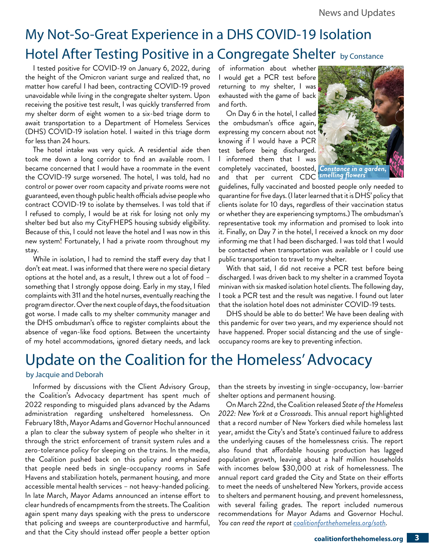# My Not-So-Great Experience in a DHS COVID-19 Isolation Hotel After Testing Positive in a Congregate Shelter by Constance

I tested positive for COVID-19 on January 6, 2022, during the height of the Omicron variant surge and realized that, no matter how careful I had been, contracting COVID-19 proved unavoidable while living in the congregate shelter system. Upon receiving the positive test result, I was quickly transferred from my shelter dorm of eight women to a six-bed triage dorm to await transportation to a Department of Homeless Services (DHS) COVID-19 isolation hotel. I waited in this triage dorm for less than 24 hours.

The hotel intake was very quick. A residential aide then took me down a long corridor to find an available room. I became concerned that I would have a roommate in the event the COVID-19 surge worsened. The hotel, I was told, had no control or power over room capacity and private rooms were not guaranteed, even though public health officials advise people who contract COVID-19 to isolate by themselves. I was told that if I refused to comply, I would be at risk for losing not only my shelter bed but also my CityFHEPS housing subsidy eligibility. Because of this, I could not leave the hotel and I was now in this new system! Fortunately, I had a private room throughout my stay.

While in isolation, I had to remind the staff every day that I don't eat meat. I was informed that there were no special dietary options at the hotel and, as a result, I threw out a lot of food – something that I strongly oppose doing. Early in my stay, I filed complaints with 311 and the hotel nurses, eventually reaching the program director. Over the next couple of days, the food situation got worse. I made calls to my shelter community manager and the DHS ombudsman's office to register complaints about the absence of vegan-like food options. Between the uncertainty of my hotel accommodations, ignored dietary needs, and lack of information about whether I would get a PCR test before returning to my shelter, I was exhausted with the game of back and forth.

On Day 6 in the hotel, I called the ombudsman's office again, expressing my concern about not knowing if I would have a PCR test before being discharged. I informed them that I was completely vaccinated, boosted, and that per current CDC



guidelines, fully vaccinated and boosted people only needed to quarantine for five days. (I later learned that it is DHS' policy that clients isolate for 10 days, regardless of their vaccination status or whether they are experiencing symptoms.) The ombudsman's representative took my information and promised to look into it. Finally, on Day 7 in the hotel, I received a knock on my door informing me that I had been discharged. I was told that I would be contacted when transportation was available or I could use public transportation to travel to my shelter.

With that said, I did not receive a PCR test before being discharged. I was driven back to my shelter in a crammed Toyota minivan with six masked isolation hotel clients. The following day, I took a PCR test and the result was negative. I found out later that the isolation hotel does not administer COVID-19 tests.

DHS should be able to do better! We have been dealing with this pandemic for over two years, and my experience should not have happened. Proper social distancing and the use of singleoccupancy rooms are key to preventing infection.

# Update on the Coalition for the Homeless' Advocacy

## by Jacquie and Deborah

Informed by discussions with the Client Advisory Group, the Coalition's Advocacy department has spent much of 2022 responding to misguided plans advanced by the Adams administration regarding unsheltered homelessness. On February 18th, Mayor Adams and Governor Hochul announced a plan to clear the subway system of people who shelter in it through the strict enforcement of transit system rules and a zero-tolerance policy for sleeping on the trains. In the media, the Coalition pushed back on this policy and emphasized that people need beds in single-occupancy rooms in Safe Havens and stabilization hotels, permanent housing, and more accessible mental health services – not heavy-handed policing. In late March, Mayor Adams announced an intense effort to clear hundreds of encampments from the streets. The Coalition again spent many days speaking with the press to underscore that policing and sweeps are counterproductive and harmful, and that the City should instead offer people a better option

than the streets by investing in single-occupancy, low-barrier shelter options and permanent housing.

On March 22nd, the Coalition released *State of the Homeless 2022: New York at a Crossroads*. This annual report highlighted that a record number of New Yorkers died while homeless last year, amidst the City's and State's continued failure to address the underlying causes of the homelessness crisis. The report also found that affordable housing production has lagged population growth, leaving about a half million households with incomes below \$30,000 at risk of homelessness. The annual report card graded the City and State on their efforts to meet the needs of unsheltered New Yorkers, provide access to shelters and permanent housing, and prevent homelessness, with several failing grades. The report included numerous recommendations for Mayor Adams and Governor Hochul. *You can read the report at [coalitionforthehomeless.org/soth.](https://www.coalitionforthehomeless.org/soth)*